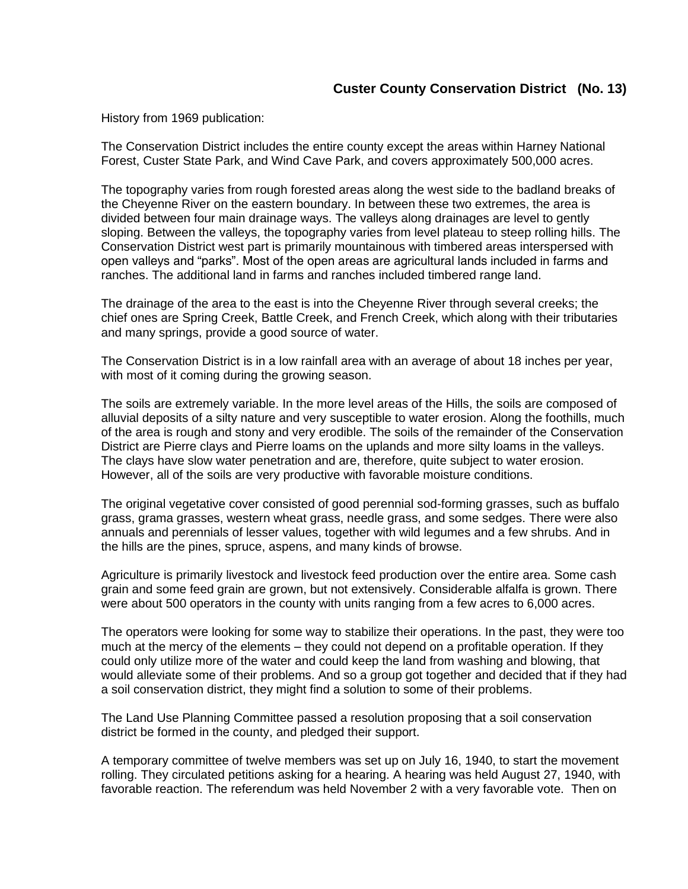## **Custer County Conservation District (No. 13)**

History from 1969 publication:

The Conservation District includes the entire county except the areas within Harney National Forest, Custer State Park, and Wind Cave Park, and covers approximately 500,000 acres.

The topography varies from rough forested areas along the west side to the badland breaks of the Cheyenne River on the eastern boundary. In between these two extremes, the area is divided between four main drainage ways. The valleys along drainages are level to gently sloping. Between the valleys, the topography varies from level plateau to steep rolling hills. The Conservation District west part is primarily mountainous with timbered areas interspersed with open valleys and "parks". Most of the open areas are agricultural lands included in farms and ranches. The additional land in farms and ranches included timbered range land.

The drainage of the area to the east is into the Cheyenne River through several creeks; the chief ones are Spring Creek, Battle Creek, and French Creek, which along with their tributaries and many springs, provide a good source of water.

The Conservation District is in a low rainfall area with an average of about 18 inches per year, with most of it coming during the growing season.

The soils are extremely variable. In the more level areas of the Hills, the soils are composed of alluvial deposits of a silty nature and very susceptible to water erosion. Along the foothills, much of the area is rough and stony and very erodible. The soils of the remainder of the Conservation District are Pierre clays and Pierre loams on the uplands and more silty loams in the valleys. The clays have slow water penetration and are, therefore, quite subject to water erosion. However, all of the soils are very productive with favorable moisture conditions.

The original vegetative cover consisted of good perennial sod-forming grasses, such as buffalo grass, grama grasses, western wheat grass, needle grass, and some sedges. There were also annuals and perennials of lesser values, together with wild legumes and a few shrubs. And in the hills are the pines, spruce, aspens, and many kinds of browse.

Agriculture is primarily livestock and livestock feed production over the entire area. Some cash grain and some feed grain are grown, but not extensively. Considerable alfalfa is grown. There were about 500 operators in the county with units ranging from a few acres to 6,000 acres.

The operators were looking for some way to stabilize their operations. In the past, they were too much at the mercy of the elements – they could not depend on a profitable operation. If they could only utilize more of the water and could keep the land from washing and blowing, that would alleviate some of their problems. And so a group got together and decided that if they had a soil conservation district, they might find a solution to some of their problems.

The Land Use Planning Committee passed a resolution proposing that a soil conservation district be formed in the county, and pledged their support.

A temporary committee of twelve members was set up on July 16, 1940, to start the movement rolling. They circulated petitions asking for a hearing. A hearing was held August 27, 1940, with favorable reaction. The referendum was held November 2 with a very favorable vote. Then on